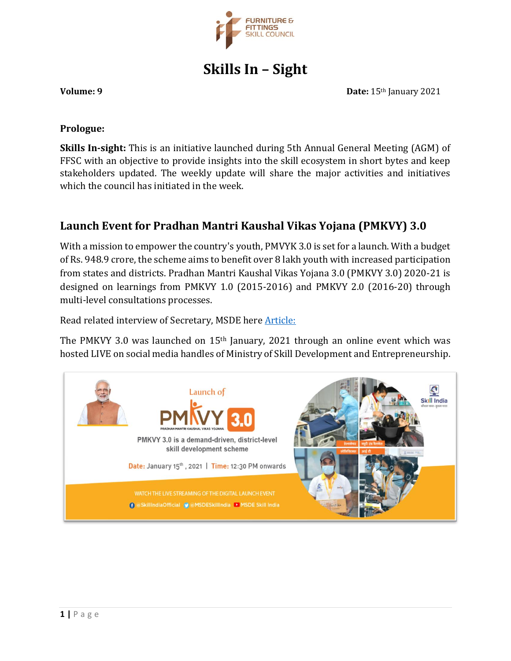

**Skills In – Sight**

### **Volume: 9 Date:** 15th January 2021

## **Prologue:**

**Skills In-sight:** This is an initiative launched during 5th Annual General Meeting (AGM) of FFSC with an objective to provide insights into the skill ecosystem in short bytes and keep stakeholders updated. The weekly update will share the major activities and initiatives which the council has initiated in the week.

# **Launch Event for Pradhan Mantri Kaushal Vikas Yojana (PMKVY) 3.0**

With a mission to empower the country's youth, PMVYK 3.0 is set for a launch. With a budget of Rs. 948.9 crore, the scheme aims to benefit over 8 lakh youth with increased participation from states and districts. Pradhan Mantri Kaushal Vikas Yojana 3.0 (PMKVY 3.0) 2020-21 is designed on learnings from PMKVY 1.0 (2015-2016) and PMKVY 2.0 (2016-20) through multi-level consultations processes.

Read related interview of Secretary, MSDE here [Article:](https://www.financialexpress.com/education-2/making-skilling-more-participative-praveen-kumar-secretary-ministry-of-skill-development-and-entrepreneurship/2168147/?fbclid=IwAR1bjwQ5ub_h4JWz2OcHUNLSKPGMJe6VqrT6mqcc-3XvnN4LliWwX-HUSwk)

The PMKVY 3.0 was launched on 15<sup>th</sup> January, 2021 through an online event which was hosted LIVE on social media handles of Ministry of Skill Development and Entrepreneurship.

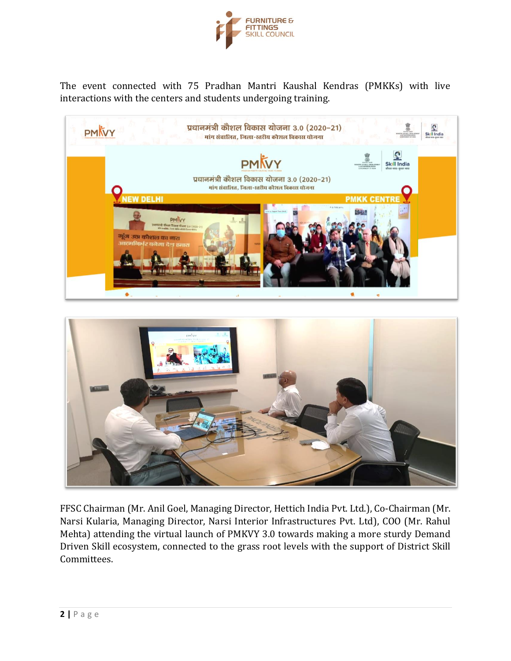

The event connected with 75 Pradhan Mantri Kaushal Kendras (PMKKs) with live interactions with the centers and students undergoing training.





FFSC Chairman (Mr. Anil Goel, Managing Director, Hettich India Pvt. Ltd.), Co-Chairman (Mr. Narsi Kularia, Managing Director, Narsi Interior Infrastructures Pvt. Ltd), COO (Mr. Rahul Mehta) attending the virtual launch of PMKVY 3.0 towards making a more sturdy Demand Driven Skill ecosystem, connected to the grass root levels with the support of District Skill Committees.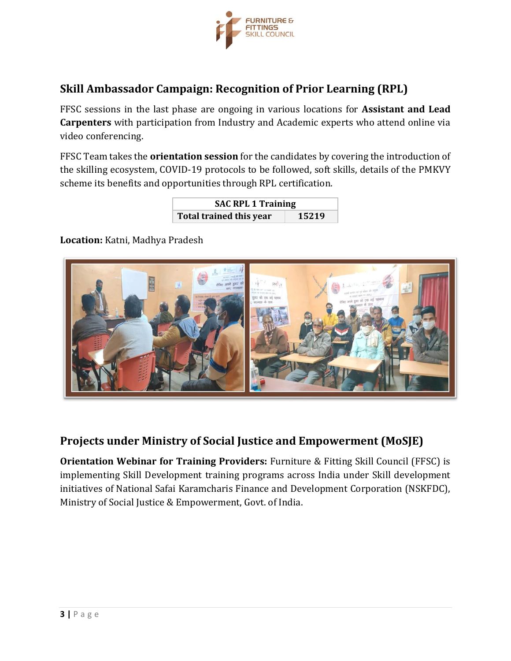

# **Skill Ambassador Campaign: Recognition of Prior Learning (RPL)**

FFSC sessions in the last phase are ongoing in various locations for **Assistant and Lead Carpenters** with participation from Industry and Academic experts who attend online via video conferencing.

FFSC Team takes the **orientation session** for the candidates by covering the introduction of the skilling ecosystem, COVID-19 protocols to be followed, soft skills, details of the PMKVY scheme its benefits and opportunities through RPL certification.

| <b>SAC RPL 1 Training</b>      |       |  |
|--------------------------------|-------|--|
| <b>Total trained this year</b> | 15219 |  |

**Location:** Katni, Madhya Pradesh



## **Projects under Ministry of Social Justice and Empowerment (MoSJE)**

**Orientation Webinar for Training Providers:** Furniture & Fitting Skill Council (FFSC) is implementing Skill Development training programs across India under Skill development initiatives of National Safai Karamcharis Finance and Development Corporation (NSKFDC), Ministry of Social Justice & Empowerment, Govt. of India.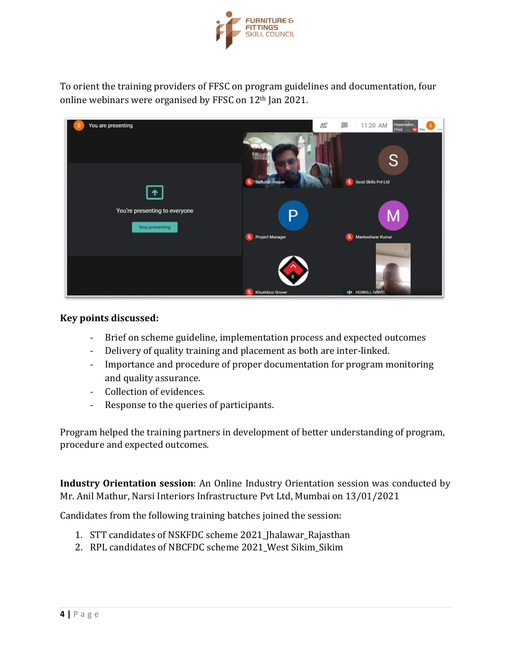

To orient the training providers of FFSC on program guidelines and documentation, four online webinars were organised by FFSC on 12<sup>th</sup> Jan 2021.

| You are presenting                                           | $2^8$                       | 11:20 AM<br>▣<br>Presentation<br>$\cdots$<br>(You)<br>You<br>S |
|--------------------------------------------------------------|-----------------------------|----------------------------------------------------------------|
| T<br>You're presenting to everyone<br><b>Stop presenting</b> | Saifullah Haque<br>P        | Saral Skills Pvt Ltd<br>М                                      |
|                                                              | <b>Project Manager</b><br>湿 | Mankeshwar Kumar                                               |
|                                                              | Khushboo Grover             | <b>III</b> HOSKILL IVNYC                                       |

## **Key points discussed:**

- Brief on scheme guideline, implementation process and expected outcomes
- Delivery of quality training and placement as both are inter-linked.
- Importance and procedure of proper documentation for program monitoring and quality assurance.
- Collection of evidences.
- Response to the queries of participants.

Program helped the training partners in development of better understanding of program, procedure and expected outcomes.

**Industry Orientation session**: An Online Industry Orientation session was conducted by Mr. Anil Mathur, Narsi Interiors Infrastructure Pvt Ltd, Mumbai on 13/01/2021

Candidates from the following training batches joined the session:

- 1. STT candidates of NSKFDC scheme 2021\_Jhalawar\_Rajasthan
- 2. RPL candidates of NBCFDC scheme 2021 West Sikim Sikim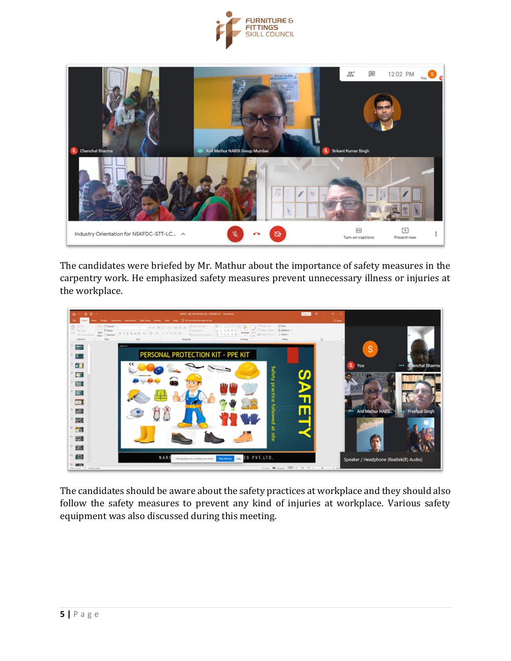



The candidates were briefed by Mr. Mathur about the importance of safety measures in the carpentry work. He emphasized safety measures prevent unnecessary illness or injuries at the workplace.



The candidates should be aware about the safety practices at workplace and they should also follow the safety measures to prevent any kind of injuries at workplace. Various safety equipment was also discussed during this meeting.